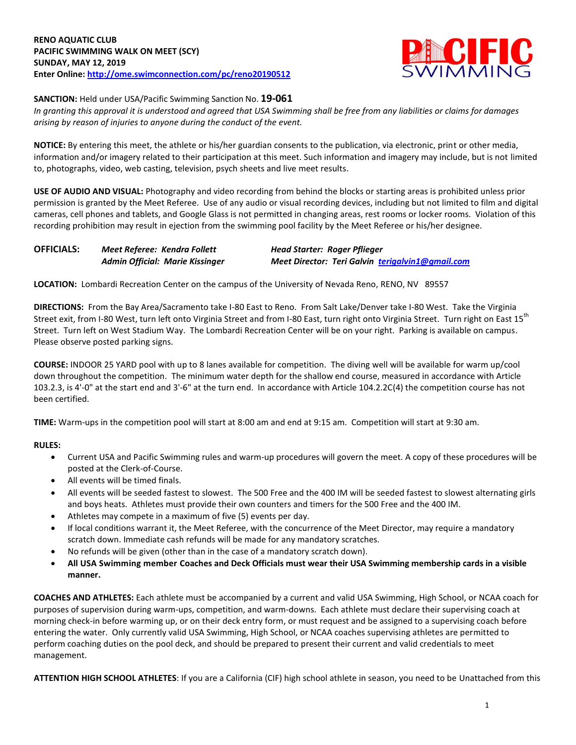

## **SANCTION:** Held under USA/Pacific Swimming Sanction No. **19-061**

*In granting this approval it is understood and agreed that USA Swimming shall be free from any liabilities or claims for damages arising by reason of injuries to anyone during the conduct of the event.*

**NOTICE:** By entering this meet, the athlete or his/her guardian consents to the publication, via electronic, print or other media, information and/or imagery related to their participation at this meet. Such information and imagery may include, but is not limited to, photographs, video, web casting, television, psych sheets and live meet results.

**USE OF AUDIO AND VISUAL:** Photography and video recording from behind the blocks or starting areas is prohibited unless prior permission is granted by the Meet Referee. Use of any audio or visual recording devices, including but not limited to film and digital cameras, cell phones and tablets, and Google Glass is not permitted in changing areas, rest rooms or locker rooms. Violation of this recording prohibition may result in ejection from the swimming pool facility by the Meet Referee or his/her designee.

| <b>OFFICIALS:</b> | Meet Referee: Kendra Follett           | Head Starter: Roger Pflieger                     |  |  |  |  |  |  |
|-------------------|----------------------------------------|--------------------------------------------------|--|--|--|--|--|--|
|                   | <b>Admin Official: Marie Kissinger</b> | Meet Director: Teri Galvin terigalvin1@gmail.com |  |  |  |  |  |  |

**LOCATION:** Lombardi Recreation Center on the campus of the University of Nevada Reno, RENO, NV 89557

**DIRECTIONS:** From the Bay Area/Sacramento take I-80 East to Reno. From Salt Lake/Denver take I-80 West. Take the Virginia Street exit, from I-80 West, turn left onto Virginia Street and from I-80 East, turn right onto Virginia Street. Turn right on East 15<sup>th</sup> Street. Turn left on West Stadium Way. The Lombardi Recreation Center will be on your right. Parking is available on campus. Please observe posted parking signs.

**COURSE:** INDOOR 25 YARD pool with up to 8 lanes available for competition. The diving well will be available for warm up/cool down throughout the competition. The minimum water depth for the shallow end course, measured in accordance with Article 103.2.3, is 4'-0" at the start end and 3'-6" at the turn end. In accordance with Article 104.2.2C(4) the competition course has not been certified.

**TIME:** Warm-ups in the competition pool will start at 8:00 am and end at 9:15 am. Competition will start at 9:30 am.

## **RULES:**

- Current USA and Pacific Swimming rules and warm-up procedures will govern the meet. A copy of these procedures will be posted at the Clerk-of-Course.
- All events will be timed finals.
- All events will be seeded fastest to slowest. The 500 Free and the 400 IM will be seeded fastest to slowest alternating girls and boys heats. Athletes must provide their own counters and timers for the 500 Free and the 400 IM.
- Athletes may compete in a maximum of five (5) events per day.
- If local conditions warrant it, the Meet Referee, with the concurrence of the Meet Director, may require a mandatory scratch down. Immediate cash refunds will be made for any mandatory scratches.
- No refunds will be given (other than in the case of a mandatory scratch down).
- **All USA Swimming member Coaches and Deck Officials must wear their USA Swimming membership cards in a visible manner.**

**COACHES AND ATHLETES:** Each athlete must be accompanied by a current and valid USA Swimming, High School, or NCAA coach for purposes of supervision during warm-ups, competition, and warm-downs. Each athlete must declare their supervising coach at morning check-in before warming up, or on their deck entry form, or must request and be assigned to a supervising coach before entering the water. Only currently valid USA Swimming, High School, or NCAA coaches supervising athletes are permitted to perform coaching duties on the pool deck, and should be prepared to present their current and valid credentials to meet management.

**ATTENTION HIGH SCHOOL ATHLETES**: If you are a California (CIF) high school athlete in season, you need to be Unattached from this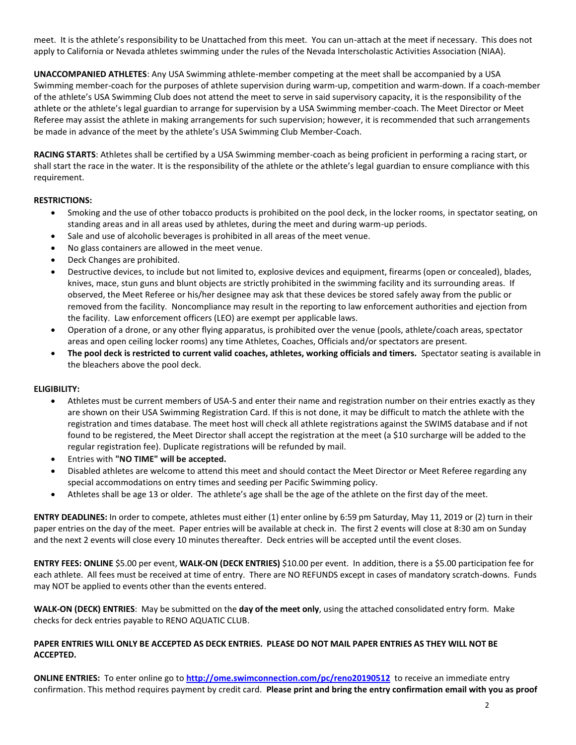meet. It is the athlete's responsibility to be Unattached from this meet. You can un-attach at the meet if necessary. This does not apply to California or Nevada athletes swimming under the rules of the Nevada Interscholastic Activities Association (NIAA).

**UNACCOMPANIED ATHLETES**: Any USA Swimming athlete-member competing at the meet shall be accompanied by a USA Swimming member-coach for the purposes of athlete supervision during warm-up, competition and warm-down. If a coach-member of the athlete's USA Swimming Club does not attend the meet to serve in said supervisory capacity, it is the responsibility of the athlete or the athlete's legal guardian to arrange for supervision by a USA Swimming member-coach. The Meet Director or Meet Referee may assist the athlete in making arrangements for such supervision; however, it is recommended that such arrangements be made in advance of the meet by the athlete's USA Swimming Club Member-Coach.

**RACING STARTS**: Athletes shall be certified by a USA Swimming member-coach as being proficient in performing a racing start, or shall start the race in the water. It is the responsibility of the athlete or the athlete's legal guardian to ensure compliance with this requirement.

## **RESTRICTIONS:**

- Smoking and the use of other tobacco products is prohibited on the pool deck, in the locker rooms, in spectator seating, on standing areas and in all areas used by athletes, during the meet and during warm-up periods.
- Sale and use of alcoholic beverages is prohibited in all areas of the meet venue.
- No glass containers are allowed in the meet venue.
- Deck Changes are prohibited.
- Destructive devices, to include but not limited to, explosive devices and equipment, firearms (open or concealed), blades, knives, mace, stun guns and blunt objects are strictly prohibited in the swimming facility and its surrounding areas. If observed, the Meet Referee or his/her designee may ask that these devices be stored safely away from the public or removed from the facility. Noncompliance may result in the reporting to law enforcement authorities and ejection from the facility. Law enforcement officers (LEO) are exempt per applicable laws.
- Operation of a drone, or any other flying apparatus, is prohibited over the venue (pools, athlete/coach areas, spectator areas and open ceiling locker rooms) any time Athletes, Coaches, Officials and/or spectators are present.
- **The pool deck is restricted to current valid coaches, athletes, working officials and timers.** Spectator seating is available in the bleachers above the pool deck.

## **ELIGIBILITY:**

- Athletes must be current members of USA-S and enter their name and registration number on their entries exactly as they are shown on their USA Swimming Registration Card. If this is not done, it may be difficult to match the athlete with the registration and times database. The meet host will check all athlete registrations against the SWIMS database and if not found to be registered, the Meet Director shall accept the registration at the meet (a \$10 surcharge will be added to the regular registration fee). Duplicate registrations will be refunded by mail.
- Entries with **"NO TIME" will be accepted.**
- Disabled athletes are welcome to attend this meet and should contact the Meet Director or Meet Referee regarding any special accommodations on entry times and seeding per Pacific Swimming policy.
- Athletes shall be age 13 or older. The athlete's age shall be the age of the athlete on the first day of the meet.

**ENTRY DEADLINES:** In order to compete, athletes must either (1) enter online by 6:59 pm Saturday, May 11, 2019 or (2) turn in their paper entries on the day of the meet. Paper entries will be available at check in. The first 2 events will close at 8:30 am on Sunday and the next 2 events will close every 10 minutes thereafter. Deck entries will be accepted until the event closes.

**ENTRY FEES: ONLINE** \$5.00 per event, **WALK-ON (DECK ENTRIES)** \$10.00 per event. In addition, there is a \$5.00 participation fee for each athlete. All fees must be received at time of entry. There are NO REFUNDS except in cases of mandatory scratch-downs. Funds may NOT be applied to events other than the events entered.

**WALK-ON (DECK) ENTRIES**: May be submitted on the **day of the meet only**, using the attached consolidated entry form. Make checks for deck entries payable to RENO AQUATIC CLUB.

## **PAPER ENTRIES WILL ONLY BE ACCEPTED AS DECK ENTRIES. PLEASE DO NOT MAIL PAPER ENTRIES AS THEY WILL NOT BE ACCEPTED.**

**ONLINE ENTRIES:** To enter online go to **<http://ome.swimconnection.com/pc/reno20190512>** to receive an immediate entry confirmation. This method requires payment by credit card. **Please print and bring the entry confirmation email with you as proof**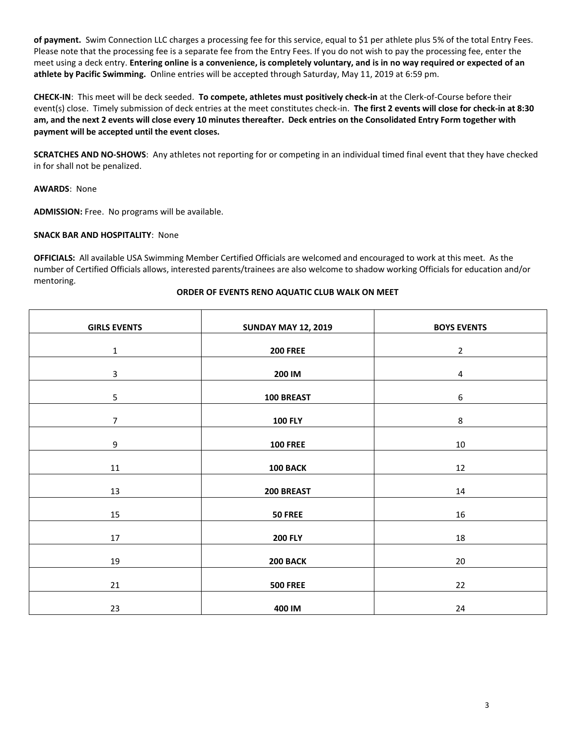**of payment.** Swim Connection LLC charges a processing fee for this service, equal to \$1 per athlete plus 5% of the total Entry Fees. Please note that the processing fee is a separate fee from the Entry Fees. If you do not wish to pay the processing fee, enter the meet using a deck entry. **Entering online is a convenience, is completely voluntary, and is in no way required or expected of an athlete by Pacific Swimming.** Online entries will be accepted through Saturday, May 11, 2019 at 6:59 pm.

**CHECK-IN**: This meet will be deck seeded. **To compete, athletes must positively check-in** at the Clerk-of-Course before their event(s) close. Timely submission of deck entries at the meet constitutes check-in. **The first 2 events will close for check-in at 8:30 am, and the next 2 events will close every 10 minutes thereafter. Deck entries on the Consolidated Entry Form together with payment will be accepted until the event closes.**

**SCRATCHES AND NO-SHOWS**: Any athletes not reporting for or competing in an individual timed final event that they have checked in for shall not be penalized.

**AWARDS**: None

**ADMISSION:** Free. No programs will be available.

## **SNACK BAR AND HOSPITALITY**: None

**OFFICIALS:** All available USA Swimming Member Certified Officials are welcomed and encouraged to work at this meet. As the number of Certified Officials allows, interested parents/trainees are also welcome to shadow working Officials for education and/or mentoring.

# **ORDER OF EVENTS RENO AQUATIC CLUB WALK ON MEET**

| <b>GIRLS EVENTS</b> | <b>SUNDAY MAY 12, 2019</b> | <b>BOYS EVENTS</b> |  |  |  |  |
|---------------------|----------------------------|--------------------|--|--|--|--|
| $\mathbf 1$         | <b>200 FREE</b>            | $\overline{2}$     |  |  |  |  |
| $\overline{3}$      | 200 IM                     | $\overline{4}$     |  |  |  |  |
| 5                   | 100 BREAST                 | 6                  |  |  |  |  |
| $\overline{7}$      | <b>100 FLY</b>             | 8                  |  |  |  |  |
| 9                   | <b>100 FREE</b>            | $10\,$             |  |  |  |  |
| 11                  | 100 BACK                   | 12                 |  |  |  |  |
| 13                  | 200 BREAST                 | 14                 |  |  |  |  |
| 15                  | <b>50 FREE</b>             | 16                 |  |  |  |  |
| $17\,$              | <b>200 FLY</b>             | 18                 |  |  |  |  |
| 19                  | 200 BACK                   | 20                 |  |  |  |  |
| 21                  | <b>500 FREE</b>            | 22                 |  |  |  |  |
| 23                  | 400 IM                     | 24                 |  |  |  |  |